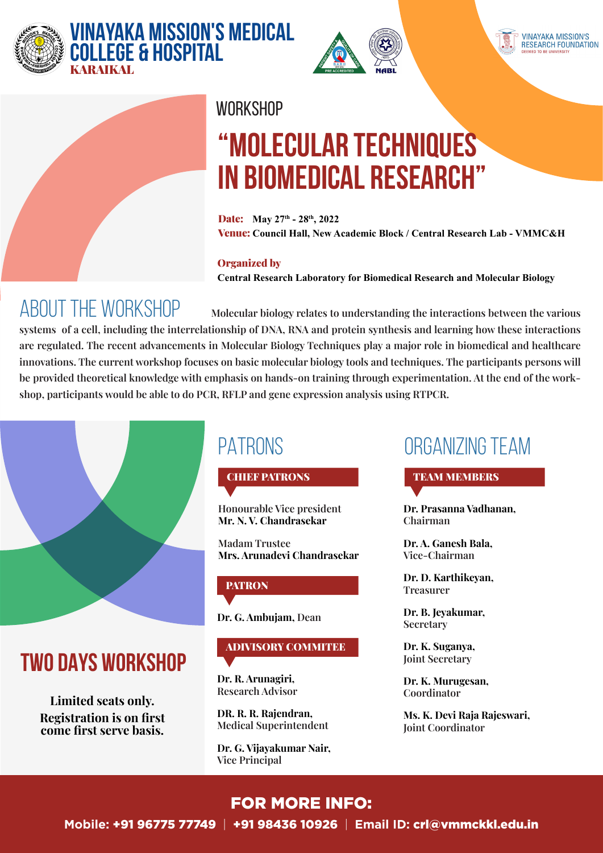





#### **WORKSHOP**

# **"Molecular Techniques in Biomedical Research"**

Date: **May 27th - 28th, 2022** Venue: **Council Hall, New Academic Block / Central Research Lab - VMMC&H**

#### Organized by

**Central Research Laboratory for Biomedical Research and Molecular Biology** 

## About the workshop

 **Molecular biology relates to understanding the interactions between the various systems of a cell, including the interrelationship of DNA, RNA and protein synthesis and learning how these interactions are regulated. The recent advancements in Molecular Biology Techniques play a major role in biomedical and healthcare innovations. The current workshop focuses on basic molecular biology tools and techniques. The participants persons will be provided theoretical knowledge with emphasis on hands-on training through experimentation. At the end of the workshop, participants would be able to do PCR, RFLP and gene expression analysis using RTPCR.**



## **Two DAYS workshop**

**Limited seats only. Registration is on first come first serve basis.**

## PATRONS

CHIEF PATRONS

**Honourable Vice president Mr. N. V. Chandrasekar**

**Madam Trustee Mrs. Arunadevi Chandrasekar**

#### **PATRON**

**Dr. G. Ambujam, Dean**

### ADIVISORY COMMITEE

**Dr. R. Arunagiri, Research Advisor**

**DR. R. R. Rajendran, Medical Superintendent**

**Dr. G. Vijayakumar Nair, Vice Principal**

## Organizing Team

TEAM MEMBERS

**Dr. Prasanna Vadhanan, Chairman**

**Dr. A. Ganesh Bala, Vice-Chairman**

**Dr. D. Karthikeyan, Treasurer**

**Dr. B. Jeyakumar, Secretary**

**Dr. K. Suganya, Joint Secretary**

**Dr. K. Murugesan, Coordinator**

**Ms. K. Devi Raja Rajeswari, Joint Coordinator**

#### FOR MORE INFO: